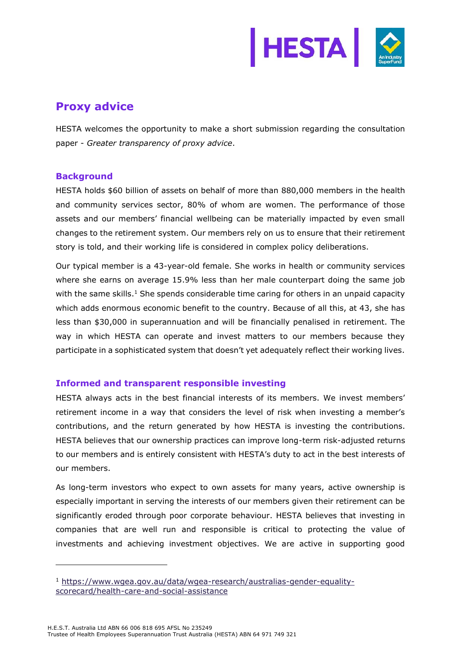

# **Proxy advice**

HESTA welcomes the opportunity to make a short submission regarding the consultation paper - *Greater transparency of proxy advice*.

### **Background**

HESTA holds \$60 billion of assets on behalf of more than 880,000 members in the health and community services sector, 80% of whom are women. The performance of those assets and our members' financial wellbeing can be materially impacted by even small changes to the retirement system. Our members rely on us to ensure that their retirement story is told, and their working life is considered in complex policy deliberations.

Our typical member is a 43-year-old female. She works in health or community services where she earns on average 15.9% less than her male counterpart doing the same job with the same skills.<sup>1</sup> She spends considerable time caring for others in an unpaid capacity which adds enormous economic benefit to the country. Because of all this, at 43, she has less than \$30,000 in superannuation and will be financially penalised in retirement. The way in which HESTA can operate and invest matters to our members because they participate in a sophisticated system that doesn't yet adequately reflect their working lives.

## **Informed and transparent responsible investing**

HESTA always acts in the best financial interests of its members. We invest members' retirement income in a way that considers the level of risk when investing a member's contributions, and the return generated by how HESTA is investing the contributions. HESTA believes that our ownership practices can improve long-term risk-adjusted returns to our members and is entirely consistent with HESTA's duty to act in the best interests of our members.

As long-term investors who expect to own assets for many years, active ownership is especially important in serving the interests of our members given their retirement can be significantly eroded through poor corporate behaviour. HESTA believes that investing in companies that are well run and responsible is critical to protecting the value of investments and achieving investment objectives. We are active in supporting good

<sup>1</sup> [https://www.wgea.gov.au/data/wgea-research/australias-gender-equality](https://www.wgea.gov.au/data/wgea-research/australias-gender-equality-scorecard/health-care-and-social-assistance)[scorecard/health-care-and-social-assistance](https://www.wgea.gov.au/data/wgea-research/australias-gender-equality-scorecard/health-care-and-social-assistance)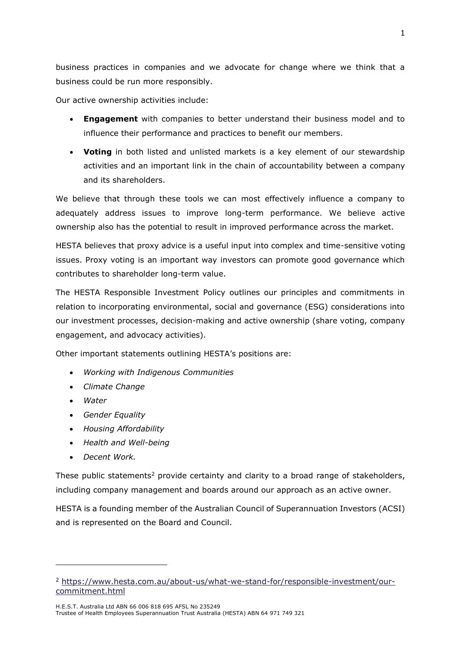business practices in companies and we advocate for change where we think that a business could be run more responsibly.

Our active ownership activities include:

- **Engagement** with companies to better understand their business model and to influence their performance and practices to benefit our members.
- **Voting** in both listed and unlisted markets is a key element of our stewardship activities and an important link in the chain of accountability between a company and its shareholders.

We believe that through these tools we can most effectively influence a company to adequately address issues to improve long-term performance. We believe active ownership also has the potential to result in improved performance across the market.

HESTA believes that proxy advice is a useful input into complex and time-sensitive voting issues. Proxy voting is an important way investors can promote good governance which contributes to shareholder long-term value.

The HESTA Responsible Investment Policy outlines our principles and commitments in relation to incorporating environmental, social and governance (ESG) considerations into our investment processes, decision-making and active ownership (share voting, company engagement, and advocacy activities).

Other important statements outlining HESTA's positions are:

- *Working with Indigenous Communities*
- *Climate Change*
- *Water*
- *Gender Equality*
- *Housing Affordability*
- *Health and Well-being*
- *Decent Work.*

These public statements<sup>2</sup> provide certainty and clarity to a broad range of stakeholders, including company management and boards around our approach as an active owner.

HESTA is a founding member of the Australian Council of Superannuation Investors (ACSI) and is represented on the Board and Council.

<sup>2</sup> [https://www.hesta.com.au/about-us/what-we-stand-for/responsible-investment/our](https://www.hesta.com.au/about-us/what-we-stand-for/responsible-investment/our-commitment.html)[commitment.html](https://www.hesta.com.au/about-us/what-we-stand-for/responsible-investment/our-commitment.html)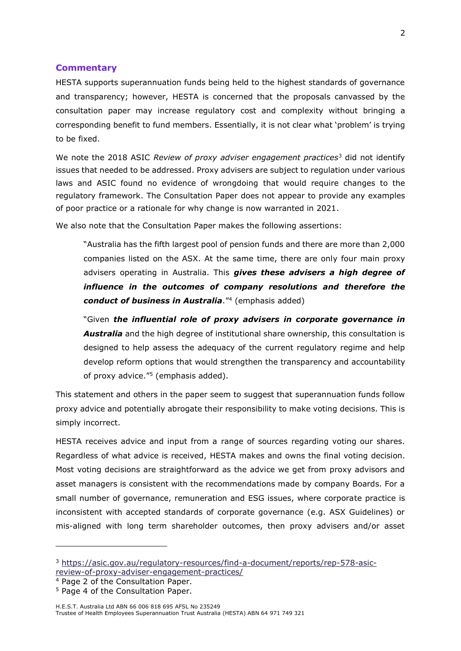#### **Commentary**

HESTA supports superannuation funds being held to the highest standards of governance and transparency; however, HESTA is concerned that the proposals canvassed by the consultation paper may increase regulatory cost and complexity without bringing a corresponding benefit to fund members. Essentially, it is not clear what 'problem' is trying to be fixed.

We note the 2018 ASIC *Review of proxy adviser engagement practices*<sup>3</sup> did not identify issues that needed to be addressed. Proxy advisers are subject to regulation under various laws and ASIC found no evidence of wrongdoing that would require changes to the regulatory framework. The Consultation Paper does not appear to provide any examples of poor practice or a rationale for why change is now warranted in 2021.

We also note that the Consultation Paper makes the following assertions:

"Australia has the fifth largest pool of pension funds and there are more than 2,000 companies listed on the ASX. At the same time, there are only four main proxy advisers operating in Australia. This *gives these advisers a high degree of influence in the outcomes of company resolutions and therefore the*  conduct of business in Australia.<sup>"4</sup> (emphasis added)

"Given *the influential role of proxy advisers in corporate governance in Australia* and the high degree of institutional share ownership, this consultation is designed to help assess the adequacy of the current regulatory regime and help develop reform options that would strengthen the transparency and accountability of proxy advice."<sup>5</sup> (emphasis added).

This statement and others in the paper seem to suggest that superannuation funds follow proxy advice and potentially abrogate their responsibility to make voting decisions. This is simply incorrect.

HESTA receives advice and input from a range of sources regarding voting our shares. Regardless of what advice is received, HESTA makes and owns the final voting decision. Most voting decisions are straightforward as the advice we get from proxy advisors and asset managers is consistent with the recommendations made by company Boards. For a small number of governance, remuneration and ESG issues, where corporate practice is inconsistent with accepted standards of corporate governance (e.g. ASX Guidelines) or mis-aligned with long term shareholder outcomes, then proxy advisers and/or asset

<sup>3</sup> [https://asic.gov.au/regulatory-resources/find-a-document/reports/rep-578-asic](https://asic.gov.au/regulatory-resources/find-a-document/reports/rep-578-asic-review-of-proxy-adviser-engagement-practices/)[review-of-proxy-adviser-engagement-practices/](https://asic.gov.au/regulatory-resources/find-a-document/reports/rep-578-asic-review-of-proxy-adviser-engagement-practices/)

<sup>4</sup> Page 2 of the Consultation Paper.

<sup>&</sup>lt;sup>5</sup> Page 4 of the Consultation Paper.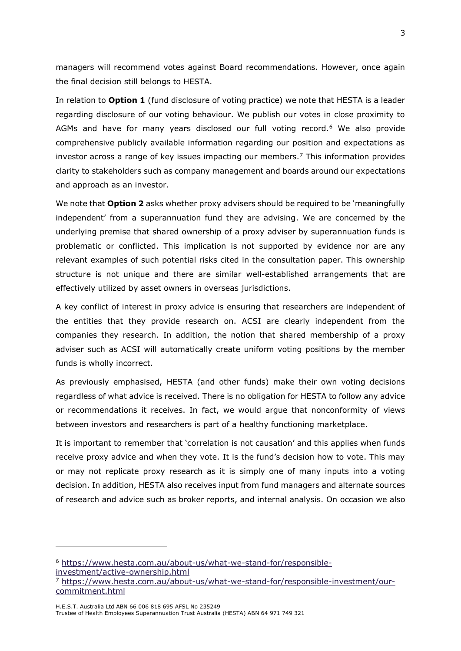managers will recommend votes against Board recommendations. However, once again the final decision still belongs to HESTA.

In relation to **Option 1** (fund disclosure of voting practice) we note that HESTA is a leader regarding disclosure of our voting behaviour. We publish our votes in close proximity to AGMs and have for many years disclosed our full voting record.<sup>6</sup> We also provide comprehensive publicly available information regarding our position and expectations as investor across a range of key issues impacting our members.<sup>7</sup> This information provides clarity to stakeholders such as company management and boards around our expectations and approach as an investor.

We note that **Option 2** asks whether proxy advisers should be required to be 'meaningfully independent' from a superannuation fund they are advising. We are concerned by the underlying premise that shared ownership of a proxy adviser by superannuation funds is problematic or conflicted. This implication is not supported by evidence nor are any relevant examples of such potential risks cited in the consultation paper. This ownership structure is not unique and there are similar well-established arrangements that are effectively utilized by asset owners in overseas jurisdictions.

A key conflict of interest in proxy advice is ensuring that researchers are independent of the entities that they provide research on. ACSI are clearly independent from the companies they research. In addition, the notion that shared membership of a proxy adviser such as ACSI will automatically create uniform voting positions by the member funds is wholly incorrect.

As previously emphasised, HESTA (and other funds) make their own voting decisions regardless of what advice is received. There is no obligation for HESTA to follow any advice or recommendations it receives. In fact, we would argue that nonconformity of views between investors and researchers is part of a healthy functioning marketplace.

It is important to remember that 'correlation is not causation' and this applies when funds receive proxy advice and when they vote. It is the fund's decision how to vote. This may or may not replicate proxy research as it is simply one of many inputs into a voting decision. In addition, HESTA also receives input from fund managers and alternate sources of research and advice such as broker reports, and internal analysis. On occasion we also

<sup>6</sup> [https://www.hesta.com.au/about-us/what-we-stand-for/responsible](https://www.hesta.com.au/about-us/what-we-stand-for/responsible-investment/active-ownership.html)[investment/active-ownership.html](https://www.hesta.com.au/about-us/what-we-stand-for/responsible-investment/active-ownership.html)

<sup>7</sup> [https://www.hesta.com.au/about-us/what-we-stand-for/responsible-investment/our](https://www.hesta.com.au/about-us/what-we-stand-for/responsible-investment/our-commitment.html)[commitment.html](https://www.hesta.com.au/about-us/what-we-stand-for/responsible-investment/our-commitment.html)